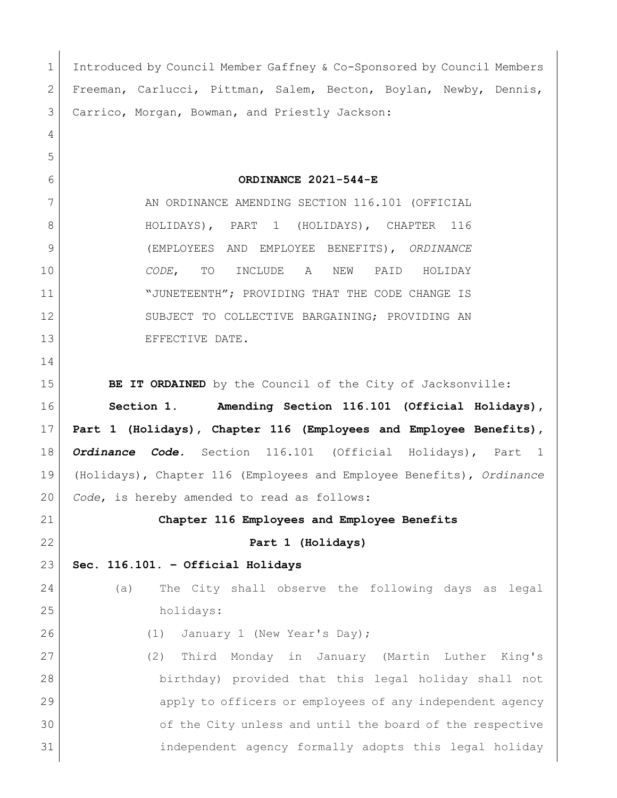| $\mathbf 1$  | Introduced by Council Member Gaffney & Co-Sponsored by Council Members |
|--------------|------------------------------------------------------------------------|
| $\mathbf{2}$ | Freeman, Carlucci, Pittman, Salem, Becton, Boylan, Newby, Dennis,      |
| 3            | Carrico, Morgan, Bowman, and Priestly Jackson:                         |
| 4            |                                                                        |
| 5            |                                                                        |
| 6            | ORDINANCE 2021-544-E                                                   |
| 7            | AN ORDINANCE AMENDING SECTION 116.101 (OFFICIAL                        |
| 8            | HOLIDAYS), PART 1 (HOLIDAYS), CHAPTER 116                              |
| 9            | (EMPLOYEES AND EMPLOYEE BENEFITS), ORDINANCE                           |
| 10           | INCLUDE A NEW PAID<br>CODE,<br>TO<br>HOLIDAY                           |
| 11           | "JUNETEENTH"; PROVIDING THAT THE CODE CHANGE IS                        |
| 12           | SUBJECT TO COLLECTIVE BARGAINING; PROVIDING AN                         |
| 13           | EFFECTIVE DATE.                                                        |
| 14           |                                                                        |
| 15           | BE IT ORDAINED by the Council of the City of Jacksonville:             |
| 16           | Section 1. Amending Section 116.101 (Official Holidays),               |
|              |                                                                        |
| 17           | Part 1 (Holidays), Chapter 116 (Employees and Employee Benefits),      |
| 18           | <b>Ordinance Code.</b> Section 116.101 (Official Holidays), Part 1     |
| 19           | (Holidays), Chapter 116 (Employees and Employee Benefits), Ordinance   |
| 20           | Code, is hereby amended to read as follows:                            |
| 21           | Chapter 116 Employees and Employee Benefits                            |
| 22           | Part 1 (Holidays)                                                      |
| 23           | Sec. 116.101. - Official Holidays                                      |
| 24           | The City shall observe the following days as legal<br>(a)              |
| 25           | holidays:                                                              |
| 26           | January 1 (New Year's Day);<br>(1)                                     |
| 27           | Third Monday in January (Martin Luther King's<br>(2)                   |
| 28           | birthday) provided that this legal holiday shall not                   |
| 29           | apply to officers or employees of any independent agency               |
| 30           | of the City unless and until the board of the respective               |
| 31           | independent agency formally adopts this legal holiday                  |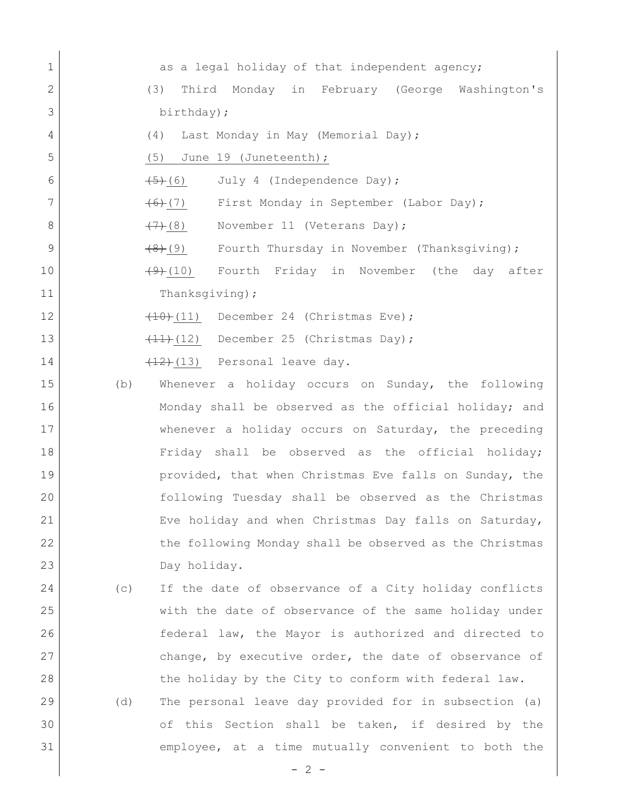| $\mathbf 1$    |     | as a legal holiday of that independent agency;          |
|----------------|-----|---------------------------------------------------------|
| $\overline{2}$ |     | (3)<br>Third Monday in February (George Washington's    |
| 3              |     | birthday);                                              |
| 4              |     | Last Monday in May (Memorial Day);<br>(4)               |
| 5              |     | $(5)$ June 19 (Juneteenth);                             |
| 6              |     | July 4 (Independence Day);<br>$\overline{(+5)}$ (6)     |
| 7              |     | (6)(7) First Monday in September (Labor Day);           |
| 8              |     | $(7)$ (8) November 11 (Veterans Day);                   |
| 9              |     | (8) Fourth Thursday in November (Thanksgiving);         |
| 10             |     | (9) Fourth Friday in November (the day after            |
| 11             |     | Thanksgiving);                                          |
| 12             |     | $(10)$ (11) December 24 (Christmas Eve);                |
| 13             |     | $(11)$ (12) December 25 (Christmas Day);                |
| 14             |     | $(12)$ (13) Personal leave day.                         |
| 15             | (b) | Whenever a holiday occurs on Sunday, the following      |
| 16             |     | Monday shall be observed as the official holiday; and   |
| 17             |     | whenever a holiday occurs on Saturday, the preceding    |
| 18             |     | Friday shall be observed as the official holiday;       |
| 19             |     | provided, that when Christmas Eve falls on Sunday, the  |
| 20             |     | following Tuesday shall be observed as the Christmas    |
| 21             |     | Eve holiday and when Christmas Day falls on Saturday,   |
| 22             |     | the following Monday shall be observed as the Christmas |
| 23             |     | Day holiday.                                            |
| 24             | (C) | If the date of observance of a City holiday conflicts   |
| 25             |     | with the date of observance of the same holiday under   |
| 26             |     | federal law, the Mayor is authorized and directed to    |
| 27             |     | change, by executive order, the date of observance of   |
| 28             |     | the holiday by the City to conform with federal law.    |
| 29             | (d) | The personal leave day provided for in subsection (a)   |
| 30             |     | of this Section shall be taken, if desired by the       |
| 31             |     | employee, at a time mutually convenient to both the     |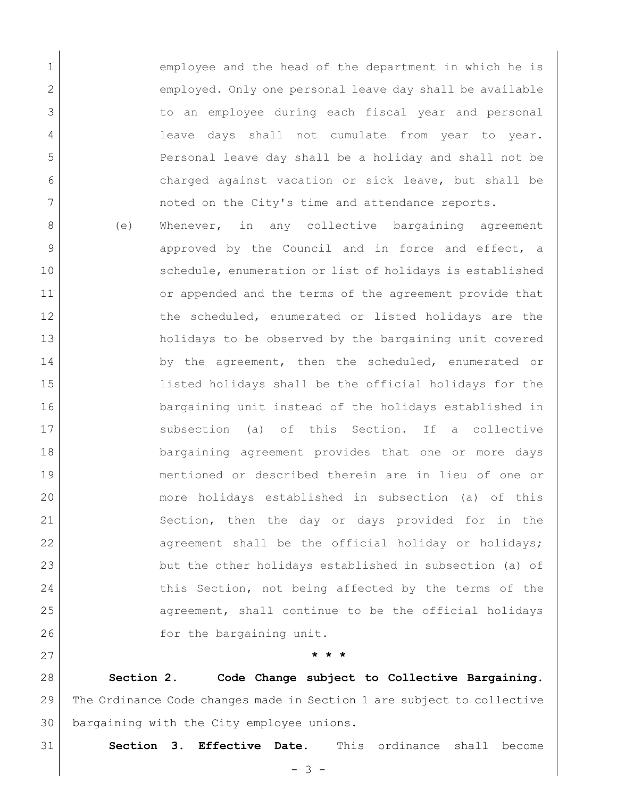**employee and the head of the department in which he is** 2 employed. Only one personal leave day shall be available to an employee during each fiscal year and personal 4 leave days shall not cumulate from year to year. Personal leave day shall be a holiday and shall not be charged against vacation or sick leave, but shall be 7 noted on the City's time and attendance reports.

8 (e) Whenever, in any collective bargaining agreement **1 approved by the Council and in force and effect, a**  schedule, enumeration or list of holidays is established 11 or appended and the terms of the agreement provide that 12 12 the scheduled, enumerated or listed holidays are the holidays to be observed by the bargaining unit covered 14 by the agreement, then the scheduled, enumerated or listed holidays shall be the official holidays for the **bargaining unit instead of the holidays established in**  subsection (a) of this Section. If a collective bargaining agreement provides that one or more days mentioned or described therein are in lieu of one or more holidays established in subsection (a) of this Section, then the day or days provided for in the 22 agreement shall be the official holiday or holidays; but the other holidays established in subsection (a) of 24 this Section, not being affected by the terms of the agreement, shall continue to be the official holidays 26 for the bargaining unit.

**\* \* \***

 **Section 2. Code Change subject to Collective Bargaining.** The Ordinance Code changes made in Section 1 are subject to collective bargaining with the City employee unions.

**Section 3. Effective Date.** This ordinance shall become